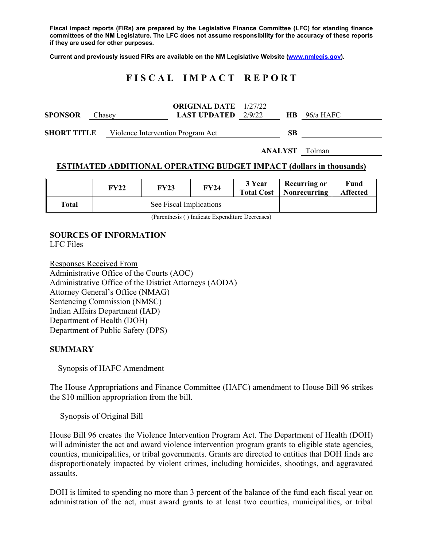**Fiscal impact reports (FIRs) are prepared by the Legislative Finance Committee (LFC) for standing finance committees of the NM Legislature. The LFC does not assume responsibility for the accuracy of these reports if they are used for other purposes.** 

**Current and previously issued FIRs are available on the NM Legislative Website (www.nmlegis.gov).** 

# **F I S C A L I M P A C T R E P O R T**

| <b>SPONSOR</b>     | Chasey                            | <b>ORIGINAL DATE</b> 1/27/22<br><b>LAST UPDATED</b> $2/9/22$ |  |    | $HB$ 96/a HAFC |
|--------------------|-----------------------------------|--------------------------------------------------------------|--|----|----------------|
| <b>SHORT TITLE</b> | Violence Intervention Program Act |                                                              |  | SВ |                |
|                    |                                   | <b>ANALYST</b> Tolman                                        |  |    |                |

### **ESTIMATED ADDITIONAL OPERATING BUDGET IMPACT (dollars in thousands)**

|       | FY22 | <b>FY23</b>             | <b>FY24</b> | 3 Year<br><b>Total Cost</b> | <b>Recurring or</b><br>  Nonrecurring | Fund<br><b>Affected</b> |
|-------|------|-------------------------|-------------|-----------------------------|---------------------------------------|-------------------------|
| Total |      | See Fiscal Implications |             |                             |                                       |                         |

(Parenthesis ( ) Indicate Expenditure Decreases)

## **SOURCES OF INFORMATION**

LFC Files

Responses Received From Administrative Office of the Courts (AOC) Administrative Office of the District Attorneys (AODA) Attorney General's Office (NMAG) Sentencing Commission (NMSC) Indian Affairs Department (IAD) Department of Health (DOH) Department of Public Safety (DPS)

### **SUMMARY**

#### Synopsis of HAFC Amendment

The House Appropriations and Finance Committee (HAFC) amendment to House Bill 96 strikes the \$10 million appropriation from the bill.

#### Synopsis of Original Bill

House Bill 96 creates the Violence Intervention Program Act. The Department of Health (DOH) will administer the act and award violence intervention program grants to eligible state agencies, counties, municipalities, or tribal governments. Grants are directed to entities that DOH finds are disproportionately impacted by violent crimes, including homicides, shootings, and aggravated assaults.

DOH is limited to spending no more than 3 percent of the balance of the fund each fiscal year on administration of the act, must award grants to at least two counties, municipalities, or tribal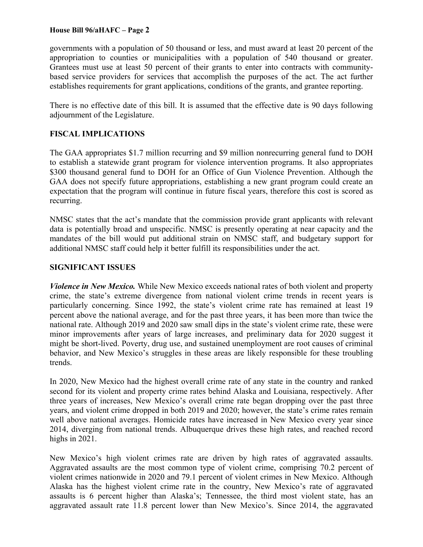### **House Bill 96/aHAFC – Page 2**

governments with a population of 50 thousand or less, and must award at least 20 percent of the appropriation to counties or municipalities with a population of 540 thousand or greater. Grantees must use at least 50 percent of their grants to enter into contracts with communitybased service providers for services that accomplish the purposes of the act. The act further establishes requirements for grant applications, conditions of the grants, and grantee reporting.

There is no effective date of this bill. It is assumed that the effective date is 90 days following adjournment of the Legislature.

## **FISCAL IMPLICATIONS**

The GAA appropriates \$1.7 million recurring and \$9 million nonrecurring general fund to DOH to establish a statewide grant program for violence intervention programs. It also appropriates \$300 thousand general fund to DOH for an Office of Gun Violence Prevention. Although the GAA does not specify future appropriations, establishing a new grant program could create an expectation that the program will continue in future fiscal years, therefore this cost is scored as recurring.

NMSC states that the act's mandate that the commission provide grant applicants with relevant data is potentially broad and unspecific. NMSC is presently operating at near capacity and the mandates of the bill would put additional strain on NMSC staff, and budgetary support for additional NMSC staff could help it better fulfill its responsibilities under the act.

### **SIGNIFICANT ISSUES**

*Violence in New Mexico.* While New Mexico exceeds national rates of both violent and property crime, the state's extreme divergence from national violent crime trends in recent years is particularly concerning. Since 1992, the state's violent crime rate has remained at least 19 percent above the national average, and for the past three years, it has been more than twice the national rate. Although 2019 and 2020 saw small dips in the state's violent crime rate, these were minor improvements after years of large increases, and preliminary data for 2020 suggest it might be short-lived. Poverty, drug use, and sustained unemployment are root causes of criminal behavior, and New Mexico's struggles in these areas are likely responsible for these troubling trends.

In 2020, New Mexico had the highest overall crime rate of any state in the country and ranked second for its violent and property crime rates behind Alaska and Louisiana, respectively. After three years of increases, New Mexico's overall crime rate began dropping over the past three years, and violent crime dropped in both 2019 and 2020; however, the state's crime rates remain well above national averages. Homicide rates have increased in New Mexico every year since 2014, diverging from national trends. Albuquerque drives these high rates, and reached record highs in 2021.

New Mexico's high violent crimes rate are driven by high rates of aggravated assaults. Aggravated assaults are the most common type of violent crime, comprising 70.2 percent of violent crimes nationwide in 2020 and 79.1 percent of violent crimes in New Mexico. Although Alaska has the highest violent crime rate in the country, New Mexico's rate of aggravated assaults is 6 percent higher than Alaska's; Tennessee, the third most violent state, has an aggravated assault rate 11.8 percent lower than New Mexico's. Since 2014, the aggravated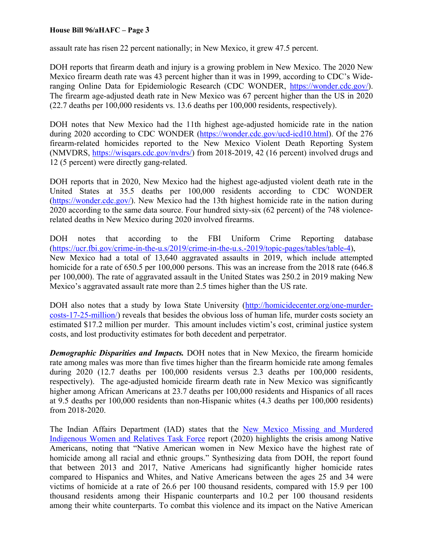### **House Bill 96/aHAFC – Page 3**

assault rate has risen 22 percent nationally; in New Mexico, it grew 47.5 percent.

DOH reports that firearm death and injury is a growing problem in New Mexico. The 2020 New Mexico firearm death rate was 43 percent higher than it was in 1999, according to CDC's Wideranging Online Data for Epidemiologic Research (CDC WONDER, https://wonder.cdc.gov/). The firearm age-adjusted death rate in New Mexico was 67 percent higher than the US in 2020 (22.7 deaths per 100,000 residents vs. 13.6 deaths per 100,000 residents, respectively).

DOH notes that New Mexico had the 11th highest age-adjusted homicide rate in the nation during 2020 according to CDC WONDER (https://wonder.cdc.gov/ucd-icd10.html). Of the 276 firearm-related homicides reported to the New Mexico Violent Death Reporting System (NMVDRS, https://wisqars.cdc.gov/nvdrs/) from 2018-2019, 42 (16 percent) involved drugs and 12 (5 percent) were directly gang-related.

DOH reports that in 2020, New Mexico had the highest age-adjusted violent death rate in the United States at 35.5 deaths per 100,000 residents according to CDC WONDER (https://wonder.cdc.gov/). New Mexico had the 13th highest homicide rate in the nation during 2020 according to the same data source. Four hundred sixty-six (62 percent) of the 748 violencerelated deaths in New Mexico during 2020 involved firearms.

DOH notes that according to the FBI Uniform Crime Reporting database (https://ucr.fbi.gov/crime-in-the-u.s/2019/crime-in-the-u.s.-2019/topic-pages/tables/table-4), New Mexico had a total of 13,640 aggravated assaults in 2019, which include attempted homicide for a rate of 650.5 per 100,000 persons. This was an increase from the 2018 rate (646.8) per 100,000). The rate of aggravated assault in the United States was 250.2 in 2019 making New Mexico's aggravated assault rate more than 2.5 times higher than the US rate.

DOH also notes that a study by Iowa State University (http://homicidecenter.org/one-murdercosts-17-25-million/) reveals that besides the obvious loss of human life, murder costs society an estimated \$17.2 million per murder. This amount includes victim's cost, criminal justice system costs, and lost productivity estimates for both decedent and perpetrator.

*Demographic Disparities and Impacts.* DOH notes that in New Mexico, the firearm homicide rate among males was more than five times higher than the firearm homicide rate among females during 2020 (12.7 deaths per 100,000 residents versus 2.3 deaths per 100,000 residents, respectively). The age-adjusted homicide firearm death rate in New Mexico was significantly higher among African Americans at 23.7 deaths per 100,000 residents and Hispanics of all races at 9.5 deaths per 100,000 residents than non-Hispanic whites (4.3 deaths per 100,000 residents) from 2018-2020.

The Indian Affairs Department (IAD) states that the New Mexico Missing and Murdered Indigenous Women and Relatives Task Force report (2020) highlights the crisis among Native Americans, noting that "Native American women in New Mexico have the highest rate of homicide among all racial and ethnic groups." Synthesizing data from DOH, the report found that between 2013 and 2017, Native Americans had significantly higher homicide rates compared to Hispanics and Whites, and Native Americans between the ages 25 and 34 were victims of homicide at a rate of 26.6 per 100 thousand residents, compared with 15.9 per 100 thousand residents among their Hispanic counterparts and 10.2 per 100 thousand residents among their white counterparts. To combat this violence and its impact on the Native American